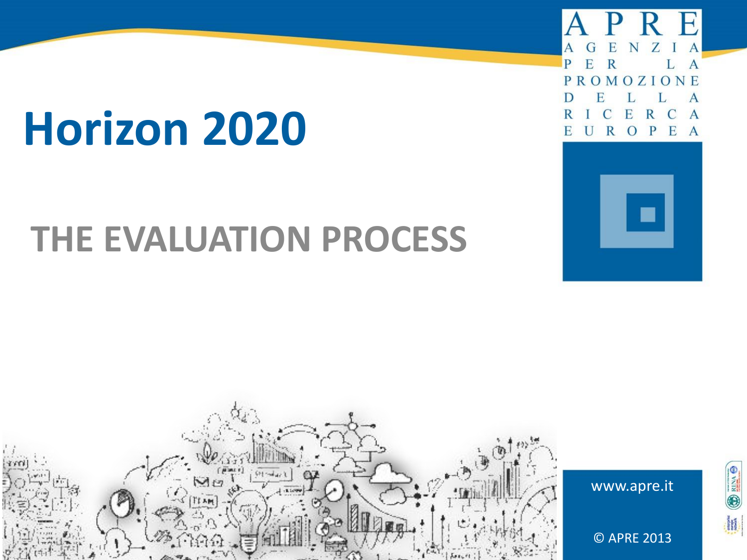# **Horizon 2020**

# **THE EVALUATION PROCESS**

D  $OMOZI$ **NF** P F  $\overline{\mathbf{R}}$  $E$ P  $\Omega$  $\mathbf{A}$ 





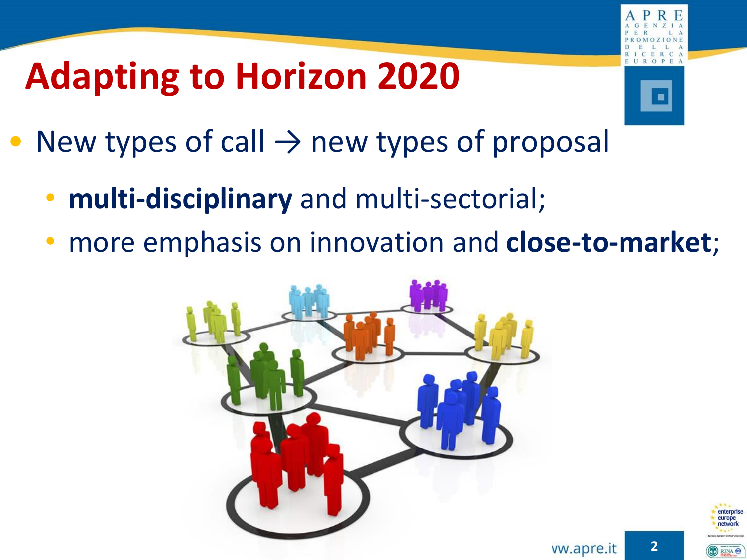# **Adapting to Horizon 2020**



- New types of call  $\rightarrow$  new types of proposal
	- **multi-disciplinary** and multi-sectorial;
	- more emphasis on innovation and **close-to-market**;





**2**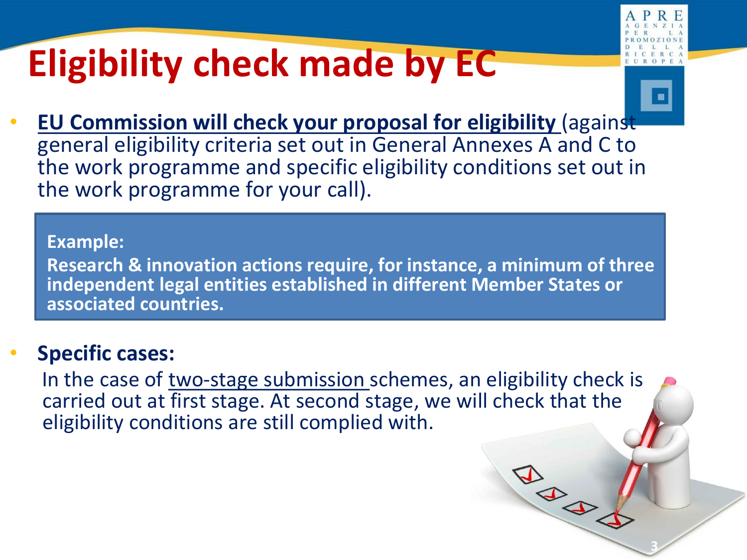# **Eligibility check made by EC**



**3**

**BABY** 

• **EU Commission will check your proposal for eligibility** (against general eligibility criteria set out in General Annexes A and C to the work programme and specific eligibility conditions set out in the work programme for your call).

### **Example:**

**Research & innovation actions require, for instance, a minimum of three independent legal entities established in different Member States or associated countries.**

### • **Specific cases:**

In the case of two-stage submission schemes, an eligibility check is carried out at first stage. At second stage, we will check that the eligibility conditions are still complied with.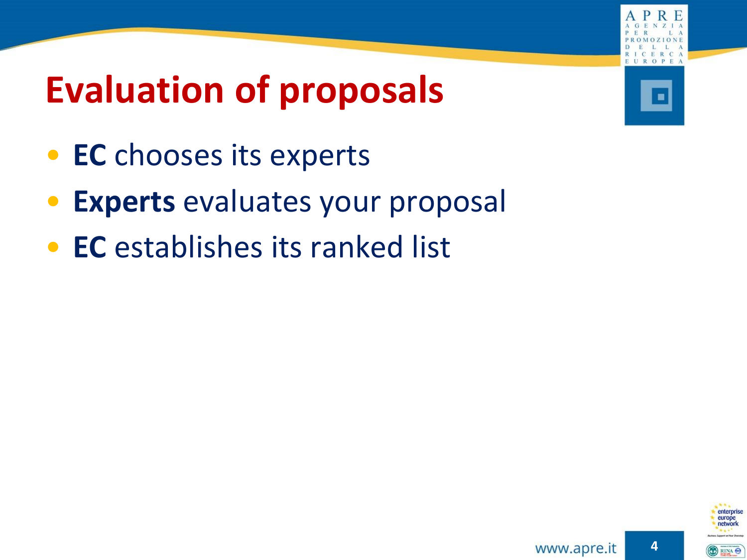# **Evaluation of proposals**

- **EC** chooses its experts
- **Experts** evaluates your proposal
- **EC** establishes its ranked list



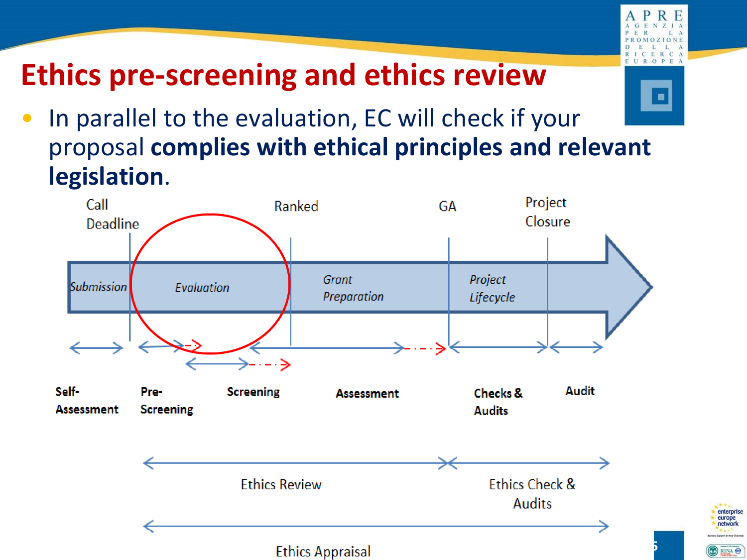

enterprise europe<br>network

**DEINA** 

## **Ethics pre-screening and ethics review**

• In parallel to the evaluation, EC will check if your proposal **complies with ethical principles and relevant legislation**.

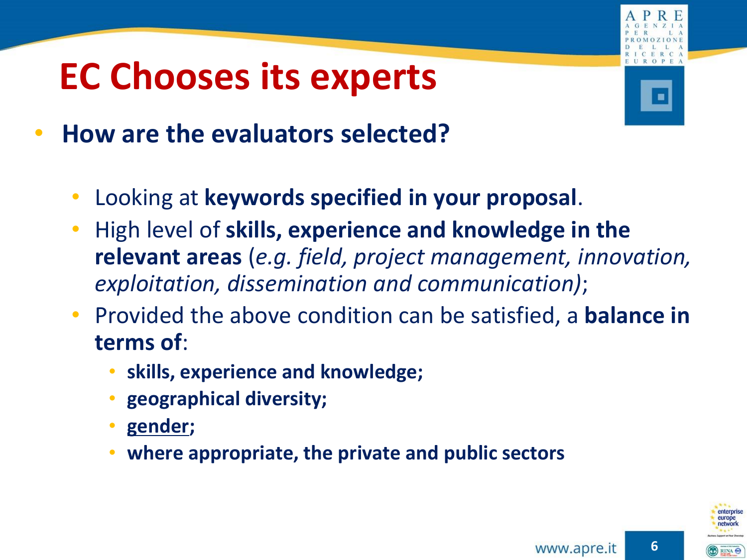## **EC Chooses its experts**



- **How are the evaluators selected?**
	- Looking at **keywords specified in your proposal**.
	- High level of **skills, experience and knowledge in the relevant areas** (*e.g. field, project management, innovation, exploitation, dissemination and communication)*;
	- Provided the above condition can be satisfied, a **balance in terms of**:
		- **skills, experience and knowledge;**
		- **geographical diversity;**
		- **gender;**
		- **where appropriate, the private and public sectors**



**6**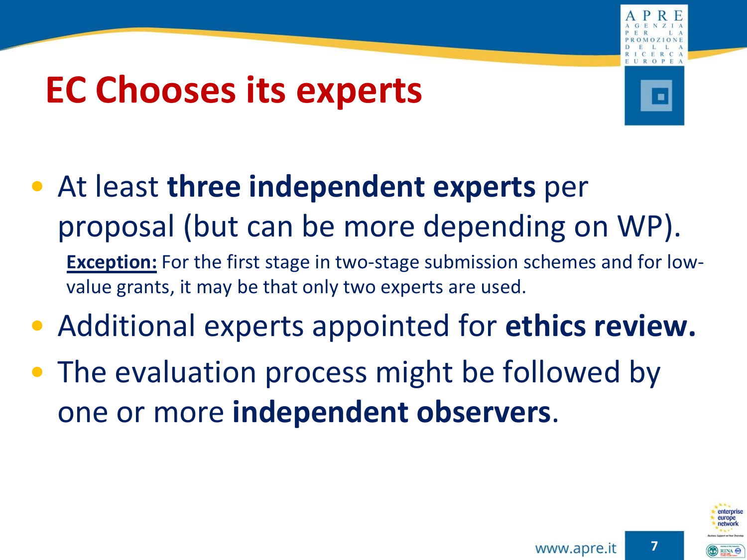## **EC Chooses its experts**



- At least **three independent experts** per proposal (but can be more depending on WP). **Exception:** For the first stage in two-stage submission schemes and for lowvalue grants, it may be that only two experts are used.
- Additional experts appointed for **ethics review.**
- The evaluation process might be followed by one or more **independent observers**.

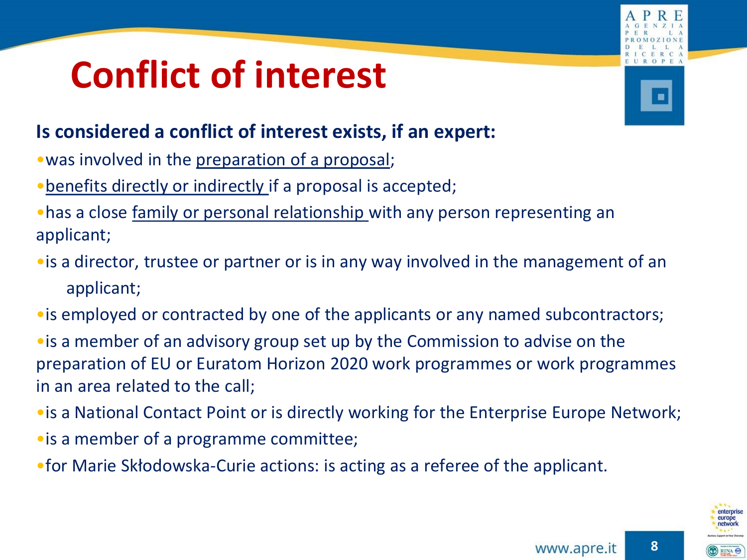# **Conflict of interest**

### **Is considered a conflict of interest exists, if an expert:**

- was involved in the preparation of a proposal;
- •benefits directly or indirectly if a proposal is accepted;
- •has a close family or personal relationship with any person representing an applicant;
- •is a director, trustee or partner or is in any way involved in the management of an applicant;
- •is employed or contracted by one of the applicants or any named subcontractors;
- •is a member of an advisory group set up by the Commission to advise on the preparation of EU or Euratom Horizon 2020 work programmes or work programmes in an area related to the call;
- •is a National Contact Point or is directly working for the Enterprise Europe Network;
- •is a member of a programme committee;
- •for Marie Skłodowska-Curie actions: is acting as a referee of the applicant.



**8**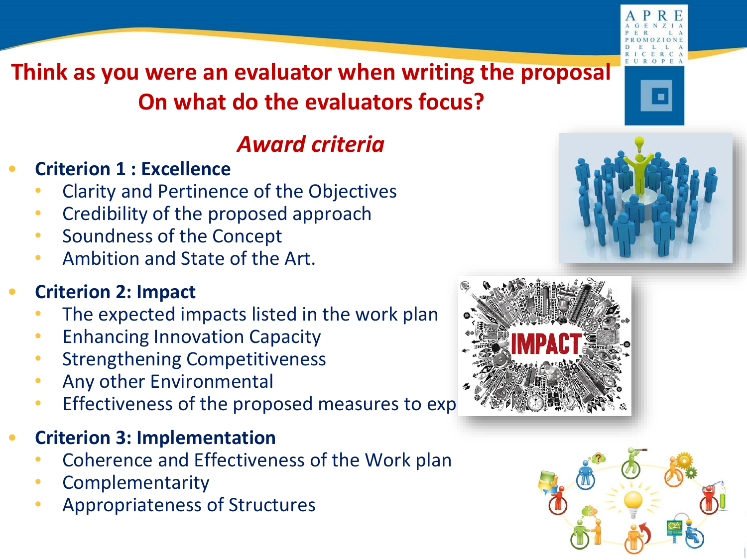

## *Award criteria*

- **Criterion 1 : Excellence**
	- Clarity and Pertinence of the Objectives
	- Credibility of the proposed approach
	- Soundness of the Concept
	- Ambition and State of the Art.

## • **Criterion 2: Impact**

- The expected impacts listed in the work plan
- **Enhancing Innovation Capacity**
- Strengthening Competitiveness
- Any other Environmental
- Effectiveness of the proposed measures to exp
- **Criterion 3: Implementation** 
	- Coherence and Effectiveness of the Work plan
	- **Complementarity**
	- Appropriateness of Structures





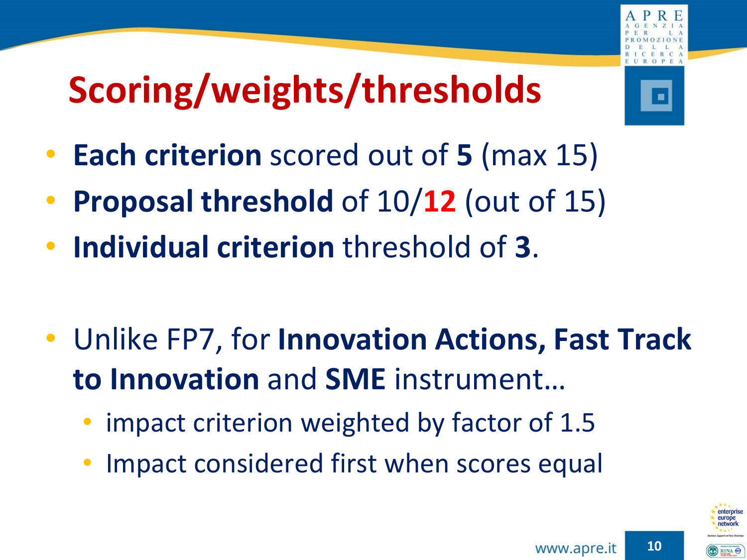# **Scoring/weights/thresholds**

- 
- **Each criterion** scored out of **5** (max 15)
- **Proposal threshold** of 10/**12** (out of 15)
- **Individual criterion** threshold of **3**.
- Unlike FP7, for **Innovation Actions, Fast Track to Innovation** and **SME** instrument…
	- impact criterion weighted by factor of 1.5
	- Impact considered first when scores equal

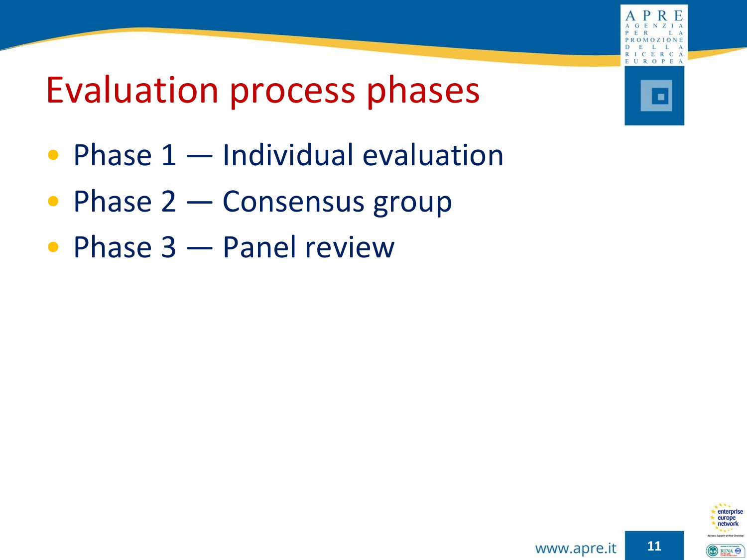

## Evaluation process phases

- Phase 1 Individual evaluation
- Phase 2 Consensus group
- Phase 3 Panel review

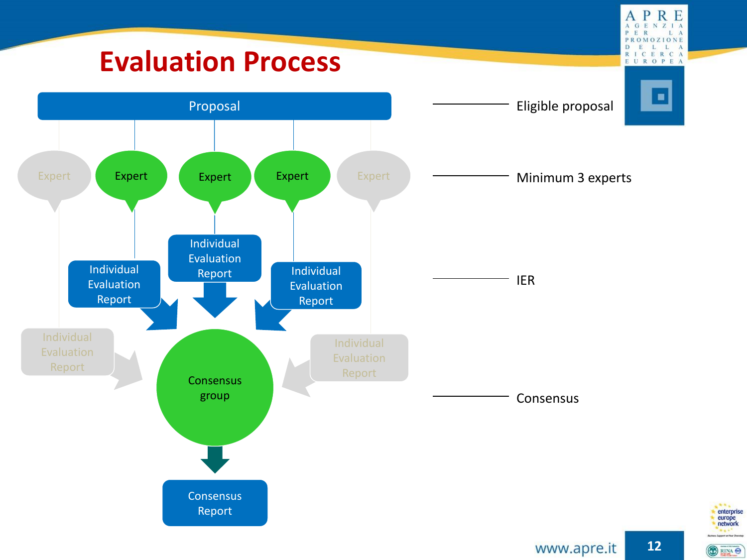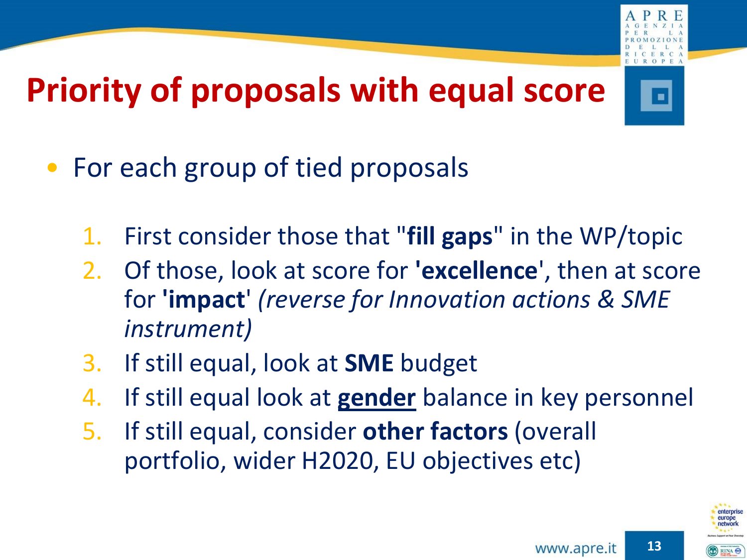

## **Priority of proposals with equal score**



- For each group of tied proposals
	- 1. First consider those that "**fill gaps**" in the WP/topic
	- 2. Of those, look at score for **'excellence**', then at score for **'impact**' *(reverse for Innovation actions & SME instrument)*
	- 3. If still equal, look at **SME** budget
	- 4. If still equal look at **gender** balance in key personnel
	- 5. If still equal, consider **other factors** (overall portfolio, wider H2020, EU objectives etc)



**13**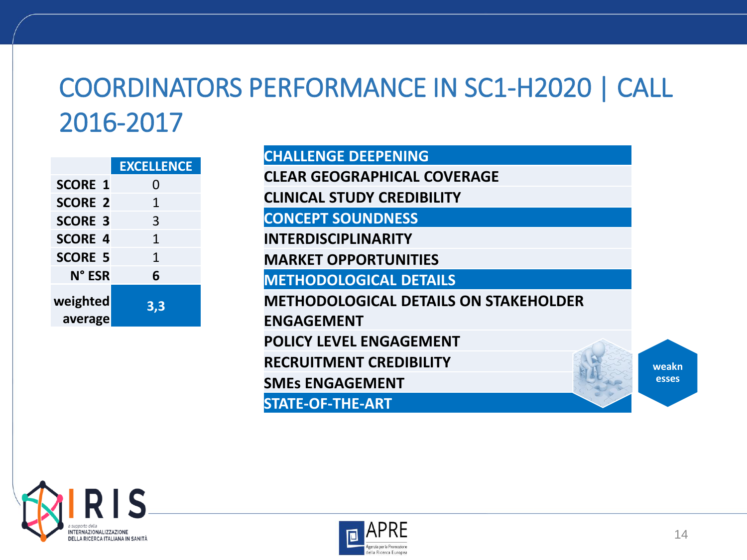## COORDINATORS PERFORMANCE IN SC1-H2020 | CALL 2016-2017

|                     | <b>EXCELLENCE</b> |
|---------------------|-------------------|
| <b>SCORE 1</b>      | 0                 |
| <b>SCORE 2</b>      | 1                 |
| <b>SCORE 3</b>      | 3                 |
| <b>SCORE 4</b>      | 1                 |
| <b>SCORE 5</b>      | 1                 |
| N° ESR              | 6                 |
| weighted<br>average | 3,3               |

**CHALLENGE DEEPENING CLEAR GEOGRAPHICAL COVERAGE CLINICAL STUDY CREDIBILITY CONCEPT SOUNDNESS INTERDISCIPLINARITY MARKET OPPORTUNITIES METHODOLOGICAL DETAILS METHODOLOGICAL DETAILS ON STAKEHOLDER ENGAGEMENT POLICY LEVEL ENGAGEMENT RECRUITMENT CREDIBILITY SMEs ENGAGEMENT STATE-OF-THE-ART weakn esses**



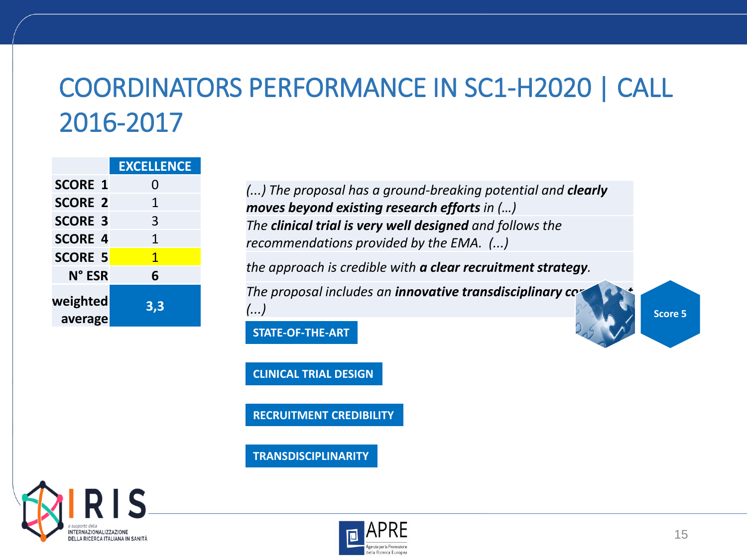## COORDINATORS PERFORMANCE IN SC1-H2020 | CALL 2016-2017

|                     | <b>EXCELLENCE</b> |
|---------------------|-------------------|
| <b>SCORE 1</b>      | O                 |
| <b>SCORE 2</b>      | 1                 |
| <b>SCORE 3</b>      | 3                 |
| <b>SCORE 4</b>      | 1                 |
| <b>SCORE 5</b>      | 1                 |
| N° ESR              | 6                 |
| weighted<br>average | 3,3               |

*(...) The proposal has a ground-breaking potential and clearly moves beyond existing research efforts in (…) The clinical trial is very well designed and follows the recommendations provided by the EMA. (...)* 

*the approach is credible with a clear recruitment strategy.*

*The proposal includes an innovative transdisciplinary com (...)* **Score 5**

**STATE-OF-THE-ART**

**CLINICAL TRIAL DESIGN**

**RECRUITMENT CREDIBILITY**

**TRANSDISCIPLINARITY**



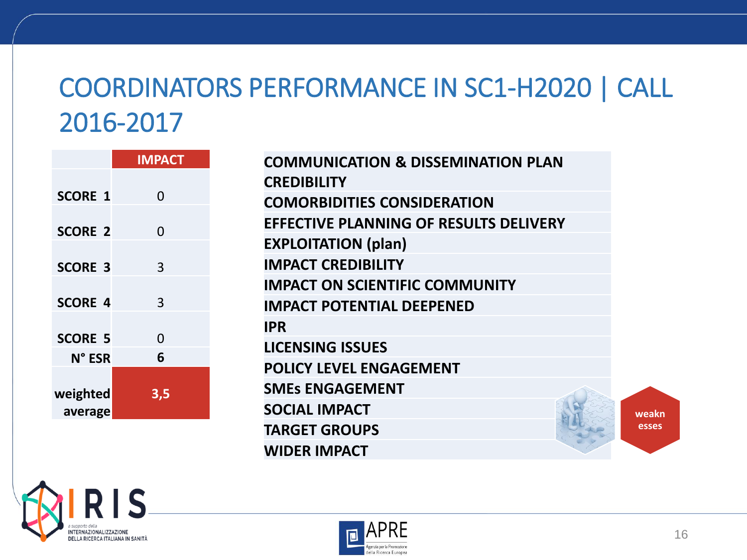## COORDINATORS PERFORMANCE IN SC1-H2020 | CALL 2016-2017

|                | <b>IMPACT</b> |
|----------------|---------------|
|                |               |
| <b>SCORE 1</b> | 0             |
|                |               |
| <b>SCORE 2</b> | 0             |
| <b>SCORE 3</b> | 3             |
|                |               |
| <b>SCORE 4</b> | 3             |
|                |               |
| <b>SCORE 5</b> | 0             |
| N° ESR         | 6             |
|                |               |
| weighted       | 3,5           |
| average        |               |

| <b>COMMUNICATION &amp; DISSEMINATION PLAN</b> |  |  |  |  |
|-----------------------------------------------|--|--|--|--|
| <b>CREDIBILITY</b>                            |  |  |  |  |
| <b>COMORBIDITIES CONSIDERATION</b>            |  |  |  |  |
| <b>EFFECTIVE PLANNING OF RESULTS DELIVERY</b> |  |  |  |  |
| <b>EXPLOITATION (plan)</b>                    |  |  |  |  |
| <b>IMPACT CREDIBILITY</b>                     |  |  |  |  |
| <b>IMPACT ON SCIENTIFIC COMMUNITY</b>         |  |  |  |  |
| <b>IMPACT POTENTIAL DEEPENED</b>              |  |  |  |  |
| <b>IPR</b>                                    |  |  |  |  |
| <b>LICENSING ISSUES</b>                       |  |  |  |  |
| POLICY LEVEL ENGAGEMENT                       |  |  |  |  |
| <b>SMES ENGAGEMENT</b>                        |  |  |  |  |
| <b>SOCIAL IMPACT</b>                          |  |  |  |  |
| <b>TARGET GROUPS</b>                          |  |  |  |  |
| <b>WIDER IMPACT</b>                           |  |  |  |  |





**weakn esses**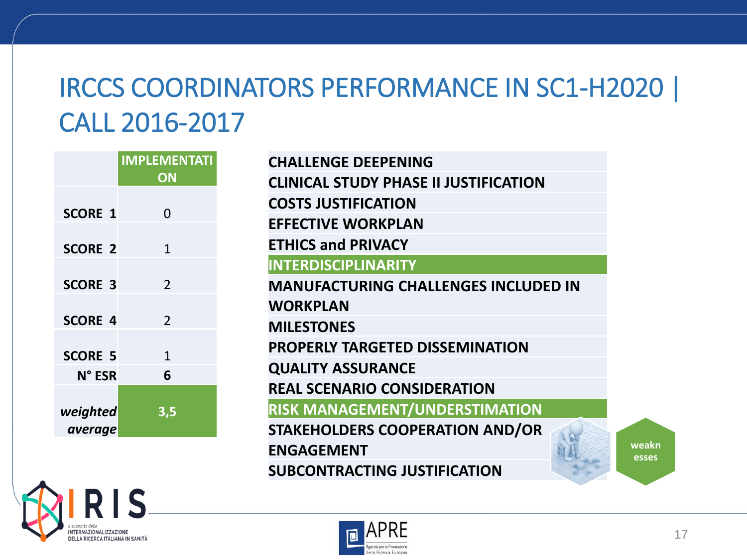## IRCCS COORDINATORS PERFORMANCE IN SC1-H2020 | CALL 2016-2017

|                | <b>IMPLEMENTATI</b>      | <b>CHALLENGE DEEPENING</b>                   |
|----------------|--------------------------|----------------------------------------------|
|                | ON                       | <b>CLINICAL STUDY PHASE II JUSTIFICATION</b> |
| <b>SCORE 1</b> | $\Omega$                 | <b>COSTS JUSTIFICATION</b>                   |
|                |                          | <b>EFFECTIVE WORKPLAN</b>                    |
| <b>SCORE 2</b> | $\mathbf{1}$             | <b>ETHICS and PRIVACY</b>                    |
|                |                          | <b>INTERDISCIPLINARITY</b>                   |
| <b>SCORE 3</b> | $\overline{\phantom{a}}$ | <b>MANUFACTURING CHALLENGES INCLUDED IN</b>  |
|                |                          | <b>WORKPLAN</b>                              |
| <b>SCORE 4</b> | $\overline{\phantom{a}}$ | <b>MILESTONES</b>                            |
| <b>SCORE 5</b> | $\mathbf{1}$             | <b>PROPERLY TARGETED DISSEMINATION</b>       |
| N° ESR         | 6                        | <b>QUALITY ASSURANCE</b>                     |
|                |                          | <b>REAL SCENARIO CONSIDERATION</b>           |
| weighted       | 3,5                      | <b>RISK MANAGEMENT/UNDERSTIMATION</b>        |
| average        |                          | <b>STAKEHOLDERS COOPERATION AND/OR</b>       |
|                |                          | <b>ENGAGEMENT</b>                            |
|                |                          | <b>SUBCONTRACTING JUSTIFICATION</b>          |
|                |                          |                                              |



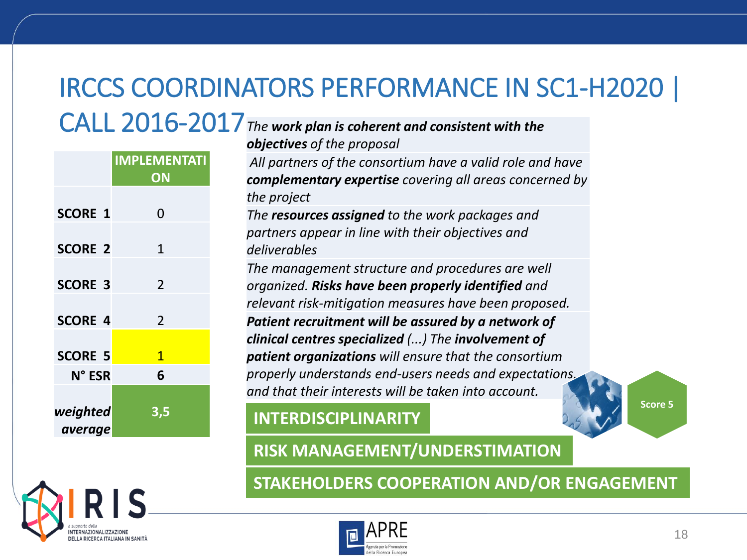## IRCCS COORDINATORS PERFORMANCE IN SC1-H2020 |

*The work plan is coherent and consistent with the*  CALL 2016-2017

|                | <b>IMPLEMENTATI</b><br>ON | All partners<br>complemen            |
|----------------|---------------------------|--------------------------------------|
| <b>SCORE 1</b> | $\Omega$                  | the project<br>The resource          |
| <b>SCORE 2</b> | $\mathbf{1}$              | partners app<br>deliverables         |
| <b>SCORE 3</b> | $\overline{2}$            | The manage<br>organized. R           |
| <b>SCORE 4</b> | $\overline{2}$            | relevant risk<br><b>Patient recr</b> |
| <b>SCORE 5</b> | $\overline{1}$            | clinical cent.<br>patient orgo       |
| N° ESR         | 6                         | properly und<br>and that the         |
| weighted       | 3,5                       | <b>INTERDIS</b>                      |
| average        |                           |                                      |

*objectives of the proposal All partners of the consortium have a valid role and have complementary expertise covering all areas concerned by The resources assigned to the work packages and partners appear in line with their objectives and The management structure and procedures are well organized. Risks have been properly identified and relation measures have been proposed. Patient recruitment will be assured by a network of clinical centres specialized (...) The involvement of patient organizations will ensure that the consortium properly understands end-users needs and expectations, and that their interests will be taken into account.*

### **ISCIPLINARITY**

**Score 5**

**RISK MANAGEMENT/UNDERSTIMATION**

**STAKEHOLDERS COOPERATION AND/OR ENGAGEMENT**



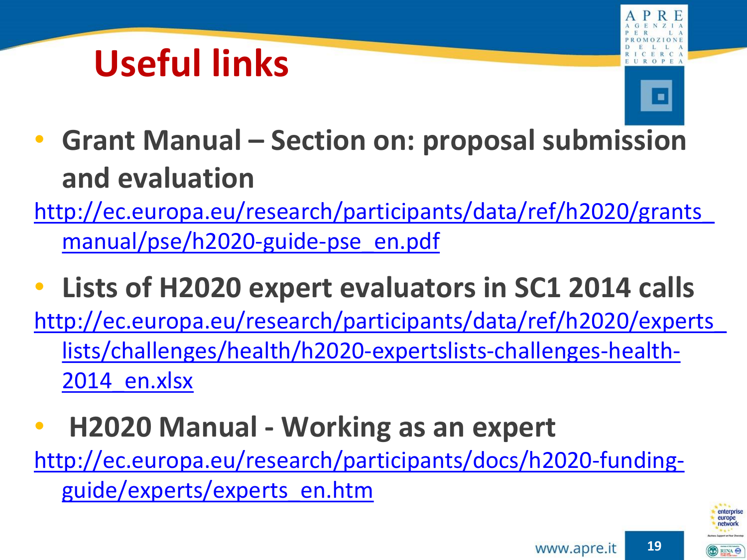# **Useful links**





- **Grant Manual – Section on: proposal submission and evaluation**
- [http://ec.europa.eu/research/participants/data/ref/h2020/grants\\_](http://ec.europa.eu/research/participants/data/ref/h2020/grants_manual/pse/h2020-guide-pse_en.pdf) manual/pse/h2020-guide-pse\_en.pdf
- **Lists of H2020 expert evaluators in SC1 2014 calls** [http://ec.europa.eu/research/participants/data/ref/h2020/experts\\_](http://ec.europa.eu/research/participants/data/ref/h2020/experts_lists/challenges/health/h2020-expertslists-challenges-health-2014_en.xlsx) lists/challenges/health/h2020-expertslists-challenges-health-2014 en.xlsx
- **H2020 Manual - Working as an expert**

[http://ec.europa.eu/research/participants/docs/h2020-funding](http://ec.europa.eu/research/participants/docs/h2020-funding-guide/experts/experts_en.htm)guide/experts/experts\_en.htm